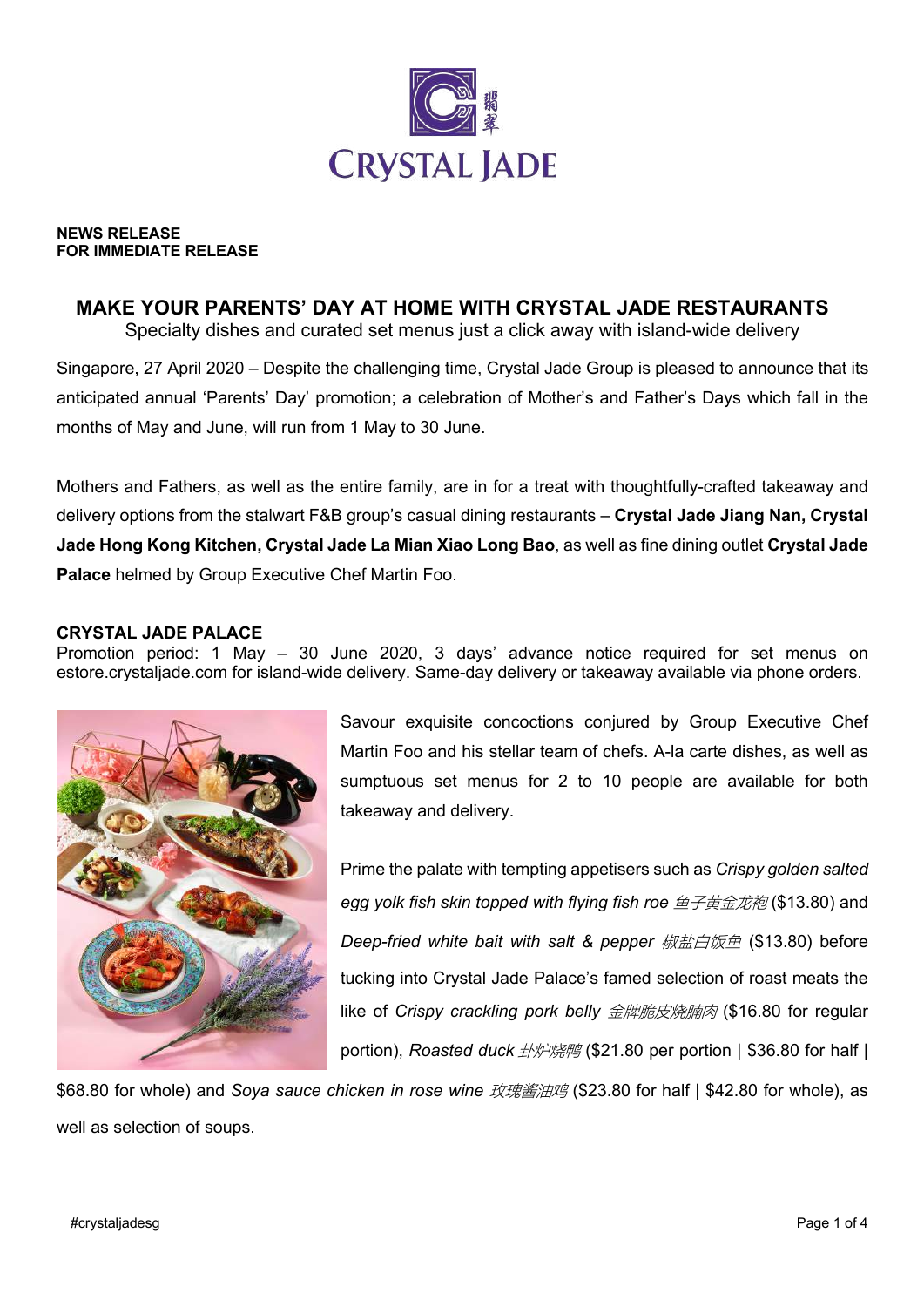

#### **NEWS RELEASE FOR IMMEDIATE RELEASE**

# **MAKE YOUR PARENTS' DAY AT HOME WITH CRYSTAL JADE RESTAURANTS**

Specialty dishes and curated set menus just a click away with island-wide delivery

Singapore, 27 April 2020 – Despite the challenging time, Crystal Jade Group is pleased to announce that its anticipated annual 'Parents' Day' promotion; a celebration of Mother's and Father's Days which fall in the months of May and June, will run from 1 May to 30 June.

Mothers and Fathers, as well as the entire family, are in for a treat with thoughtfully-crafted takeaway and delivery options from the stalwart F&B group's casual dining restaurants – **Crystal Jade Jiang Nan, Crystal Jade Hong Kong Kitchen, Crystal Jade La Mian Xiao Long Bao**, as well as fine dining outlet **Crystal Jade Palace** helmed by Group Executive Chef Martin Foo.

## **CRYSTAL JADE PALACE**

Promotion period: 1 May – 30 June 2020, 3 days' advance notice required for set menus on estore.crystaljade.com for island-wide delivery. Same-day delivery or takeaway available via phone orders.



Savour exquisite concoctions conjured by Group Executive Chef Martin Foo and his stellar team of chefs. A-la carte dishes, as well as sumptuous set menus for 2 to 10 people are available for both takeaway and delivery.

Prime the palate with tempting appetisers such as *Crispy golden salted egg yolk fish skin topped with flying fish roe* 鱼子黄金龙袍 (\$13.80) and *Deep-fried white bait with salt & pepper* 椒盐白饭鱼 (\$13.80) before tucking into Crystal Jade Palace's famed selection of roast meats the like of *Crispy crackling pork belly* 金牌脆皮烧腩肉 (\$16.80 for regular portion), *Roasted duck 卦炉烧鸭* (\$21.80 per portion | \$36.80 for half |

\$68.80 for whole) and *Soya sauce chicken in rose wine* 玫瑰酱油鸡 (\$23.80 for half | \$42.80 for whole), as well as selection of soups.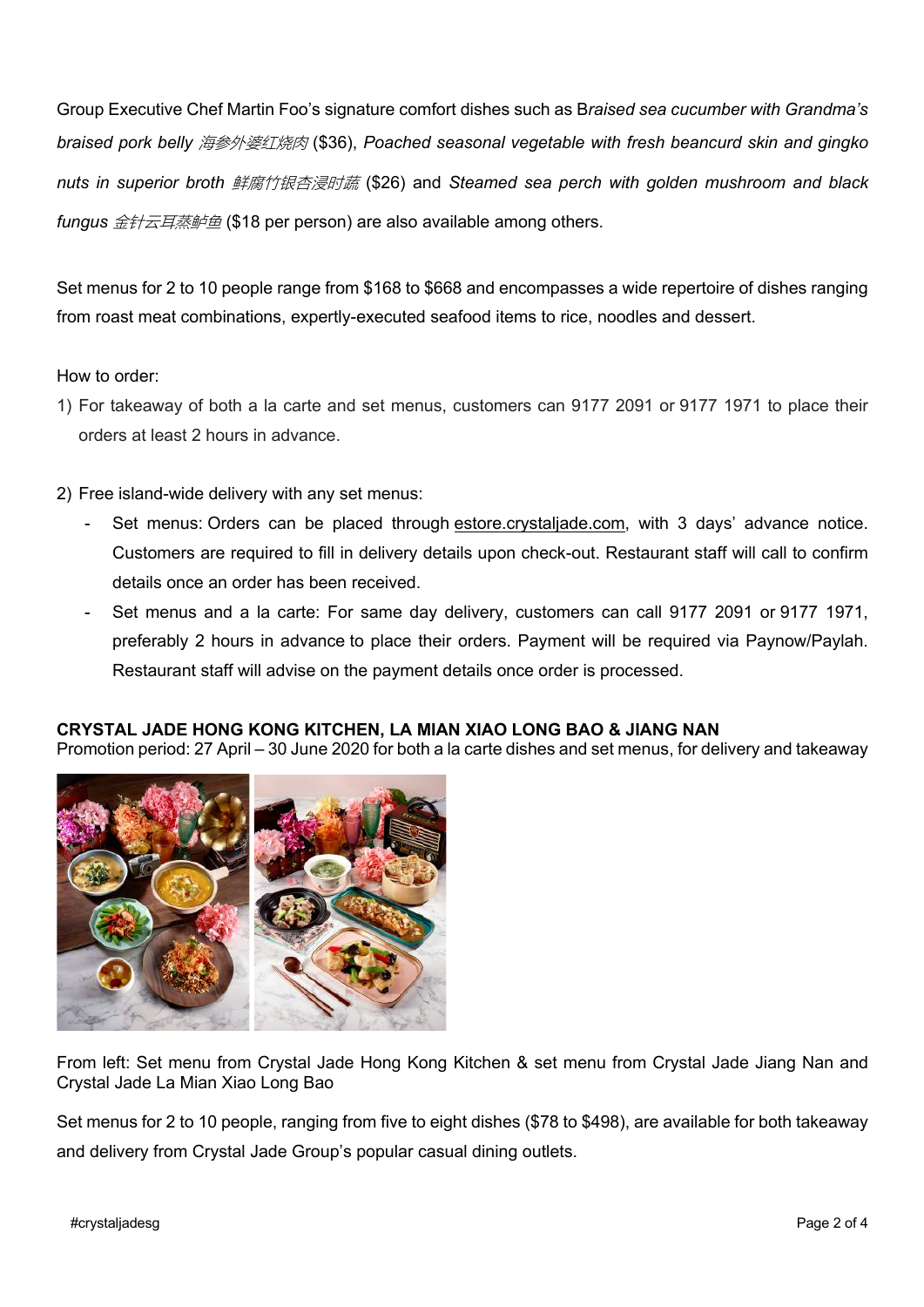Group Executive Chef Martin Foo's signature comfort dishes such as B*raised sea cucumber with Grandma's braised pork belly* 海参外婆红烧肉 (\$36), *Poached seasonal vegetable with fresh beancurd skin and gingko nuts in superior broth* 鲜腐竹银杏浸时蔬 (\$26) and *Steamed sea perch with golden mushroom and black fungus* 金针云耳蒸鲈鱼 (\$18 per person) are also available among others.

Set menus for 2 to 10 people range from \$168 to \$668 and encompasses a wide repertoire of dishes ranging from roast meat combinations, expertly-executed seafood items to rice, noodles and dessert.

How to order:

- 1) For takeaway of both a la carte and set menus, customers can 9177 2091 or 9177 1971 to place their orders at least 2 hours in advance.
- 2) Free island-wide delivery with any set menus:
	- Set menus: Orders can be placed through estore.crystaliade.com, with 3 days' advance notice. Customers are required to fill in delivery details upon check-out. Restaurant staff will call to confirm details once an order has been received.
	- Set menus and a la carte: For same day delivery, customers can call 9177 2091 or 9177 1971, preferably 2 hours in advance to place their orders. Payment will be required via Paynow/Paylah. Restaurant staff will advise on the payment details once order is processed.

## **CRYSTAL JADE HONG KONG KITCHEN, LA MIAN XIAO LONG BAO & JIANG NAN**

Promotion period: 27 April – 30 June 2020 for both a la carte dishes and set menus, for delivery and takeaway



From left: Set menu from Crystal Jade Hong Kong Kitchen & set menu from Crystal Jade Jiang Nan and Crystal Jade La Mian Xiao Long Bao

Set menus for 2 to 10 people, ranging from five to eight dishes (\$78 to \$498), are available for both takeaway and delivery from Crystal Jade Group's popular casual dining outlets.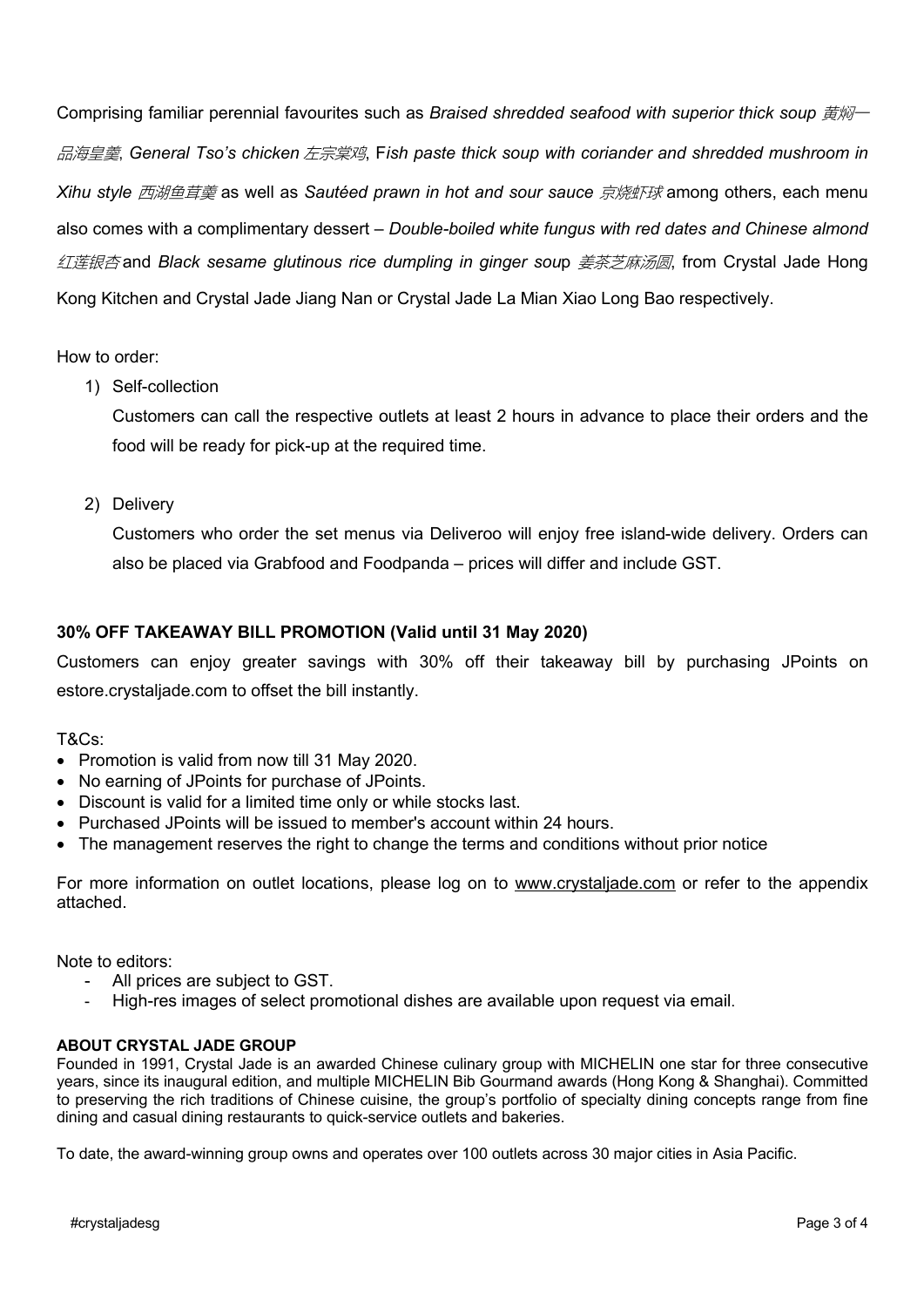Comprising familiar perennial favourites such as *Braised shredded seafood with superior thick soup 黄焖*一 品海皇羹, *General Tso's chicken* 左宗棠鸡, F*ish paste thick soup with coriander and shredded mushroom in Xihu style* 西湖鱼茸羮 as well as *Sautéed prawn in hot and sour sauce* 京烧虾球 among others, each menu also comes with a complimentary dessert – *Double-boiled white fungus with red dates and Chinese almond* 红莲银杏 and *Black sesame glutinous rice dumpling in ginger sou*p 姜茶芝麻汤圆, from Crystal Jade Hong Kong Kitchen and Crystal Jade Jiang Nan or Crystal Jade La Mian Xiao Long Bao respectively.

How to order:

1) Self-collection

Customers can call the respective outlets at least 2 hours in advance to place their orders and the food will be ready for pick-up at the required time.

2) Delivery

Customers who order the set menus via Deliveroo will enjoy free island-wide delivery. Orders can also be placed via Grabfood and Foodpanda – prices will differ and include GST.

## **30% OFF TAKEAWAY BILL PROMOTION (Valid until 31 May 2020)**

Customers can enjoy greater savings with 30% off their takeaway bill by purchasing JPoints on estore.crystaljade.com to offset the bill instantly.

T&Cs:

- Promotion is valid from now till 31 May 2020.
- No earning of JPoints for purchase of JPoints.
- Discount is valid for a limited time only or while stocks last.
- Purchased JPoints will be issued to member's account within 24 hours.
- The management reserves the right to change the terms and conditions without prior notice

For more information on outlet locations, please log on to www.crystaljade.com or refer to the appendix attached.

Note to editors:

- All prices are subject to GST.
- High-res images of select promotional dishes are available upon request via email.

#### **ABOUT CRYSTAL JADE GROUP**

Founded in 1991, Crystal Jade is an awarded Chinese culinary group with MICHELIN one star for three consecutive years, since its inaugural edition, and multiple MICHELIN Bib Gourmand awards (Hong Kong & Shanghai). Committed to preserving the rich traditions of Chinese cuisine, the group's portfolio of specialty dining concepts range from fine dining and casual dining restaurants to quick-service outlets and bakeries.

To date, the award-winning group owns and operates over 100 outlets across 30 major cities in Asia Pacific.